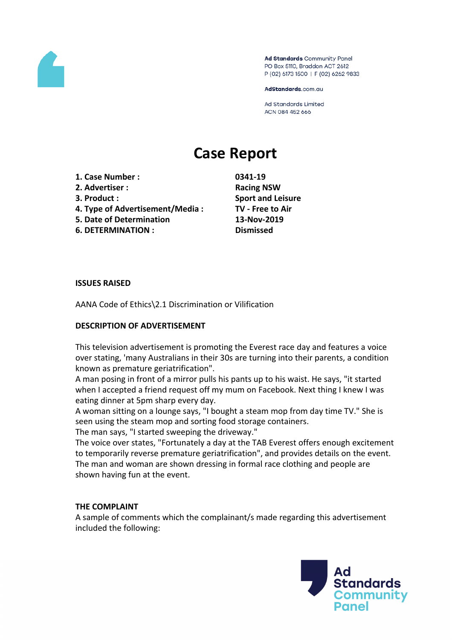

Ad Standards Community Panel PO Box 5110, Braddon ACT 2612 P (02) 6173 1500 | F (02) 6262 9833

AdStandards.com.au

Ad Standards Limited ACN 084 452 666

# **Case Report**

- **1. Case Number : 0341-19**
- **2. Advertiser : Racing NSW**
- 
- **4. Type of Advertisement/Media : TV - Free to Air**
- **5. Date of Determination 13-Nov-2019**
- **6. DETERMINATION : Dismissed**

**3. Product : Sport and Leisure**

### **ISSUES RAISED**

AANA Code of Ethics\2.1 Discrimination or Vilification

# **DESCRIPTION OF ADVERTISEMENT**

This television advertisement is promoting the Everest race day and features a voice over stating, 'many Australians in their 30s are turning into their parents, a condition known as premature geriatrification".

A man posing in front of a mirror pulls his pants up to his waist. He says, "it started when I accepted a friend request off my mum on Facebook. Next thing I knew I was eating dinner at 5pm sharp every day.

A woman sitting on a lounge says, "I bought a steam mop from day time TV." She is seen using the steam mop and sorting food storage containers.

The man says, "I started sweeping the driveway."

The voice over states, "Fortunately a day at the TAB Everest offers enough excitement to temporarily reverse premature geriatrification", and provides details on the event. The man and woman are shown dressing in formal race clothing and people are shown having fun at the event.

### **THE COMPLAINT**

A sample of comments which the complainant/s made regarding this advertisement included the following:

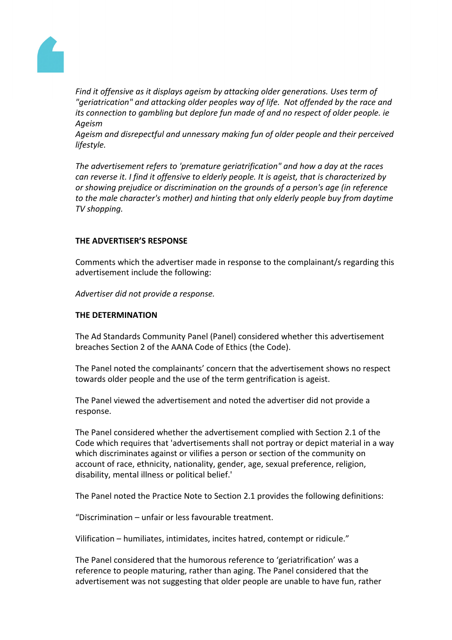

*Find it offensive as it displays ageism by attacking older generations. Uses term of "geriatrication" and attacking older peoples way of life. Not offended by the race and its connection to gambling but deplore fun made of and no respect of older people. ie Ageism*

*Ageism and disrepectful and unnessary making fun of older people and their perceived lifestyle.*

*The advertisement refers to 'premature geriatrification" and how a day at the races can reverse it. I find it offensive to elderly people. It is ageist, that is characterized by or showing prejudice or discrimination on the grounds of a person's age (in reference to the male character's mother) and hinting that only elderly people buy from daytime TV shopping.*

# **THE ADVERTISER'S RESPONSE**

Comments which the advertiser made in response to the complainant/s regarding this advertisement include the following:

*Advertiser did not provide a response.*

# **THE DETERMINATION**

The Ad Standards Community Panel (Panel) considered whether this advertisement breaches Section 2 of the AANA Code of Ethics (the Code).

The Panel noted the complainants' concern that the advertisement shows no respect towards older people and the use of the term gentrification is ageist.

The Panel viewed the advertisement and noted the advertiser did not provide a response.

The Panel considered whether the advertisement complied with Section 2.1 of the Code which requires that 'advertisements shall not portray or depict material in a way which discriminates against or vilifies a person or section of the community on account of race, ethnicity, nationality, gender, age, sexual preference, religion, disability, mental illness or political belief.'

The Panel noted the Practice Note to Section 2.1 provides the following definitions:

"Discrimination – unfair or less favourable treatment.

Vilification – humiliates, intimidates, incites hatred, contempt or ridicule."

The Panel considered that the humorous reference to 'geriatrification' was a reference to people maturing, rather than aging. The Panel considered that the advertisement was not suggesting that older people are unable to have fun, rather